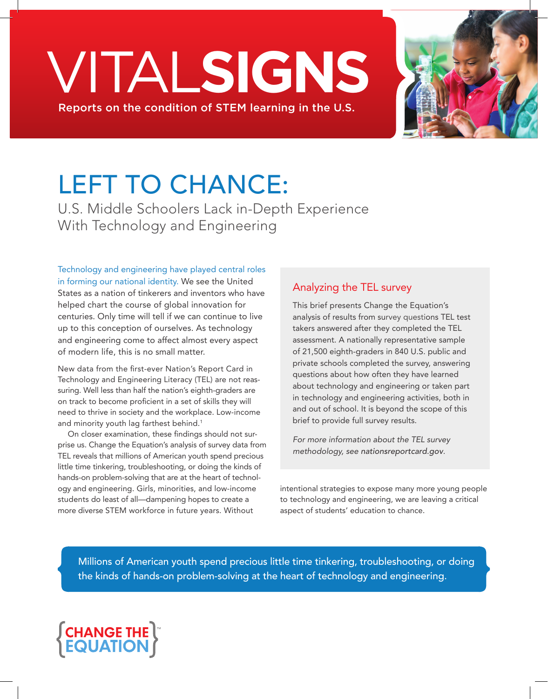# VITAL**SIGNS** Reports on the condition of STEM learning in the U.S.



# LEFT TO CHANCE:

U.S. Middle Schoolers Lack in-Depth Experience With Technology and Engineering

Technology and engineering have played central roles in forming our national identity. We see the United States as a nation of tinkerers and inventors who have helped chart the course of global innovation for centuries. Only time will tell if we can continue to live up to this conception of ourselves. As technology and engineering come to affect almost every aspect of modern life, this is no small matter.

New data from the first-ever Nation's Report Card in Technology and Engineering Literacy (TEL) are not reassuring. Well less than half the nation's eighth-graders are on track to become proficient in a set of skills they will need to thrive in society and the workplace. Low-income and minority youth lag farthest behind.<sup>1</sup>

On closer examination, these findings should not surprise us. Change the Equation's analysis of survey data from TEL reveals that millions of American youth spend precious little time tinkering, troubleshooting, or doing the kinds of hands-on problem-solving that are at the heart of technology and engineering. Girls, minorities, and low-income students do least of all—dampening hopes to create a more diverse STEM workforce in future years. Without

# Analyzing the TEL survey

This brief presents Change the Equation's analysis of results from survey questions TEL test takers answered after they completed the TEL assessment. A nationally representative sample of 21,500 eighth-graders in 840 U.S. public and private schools completed the survey, answering questions about how often they have learned about technology and engineering or taken part in technology and engineering activities, both in and out of school. It is beyond the scope of this brief to provide full survey results.

*For more information about the TEL survey methodology, see nationsreportcard.gov.*

intentional strategies to expose many more young people to technology and engineering, we are leaving a critical aspect of students' education to chance.

Millions of American youth spend precious little time tinkering, troubleshooting, or doing the kinds of hands-on problem-solving at the heart of technology and engineering.

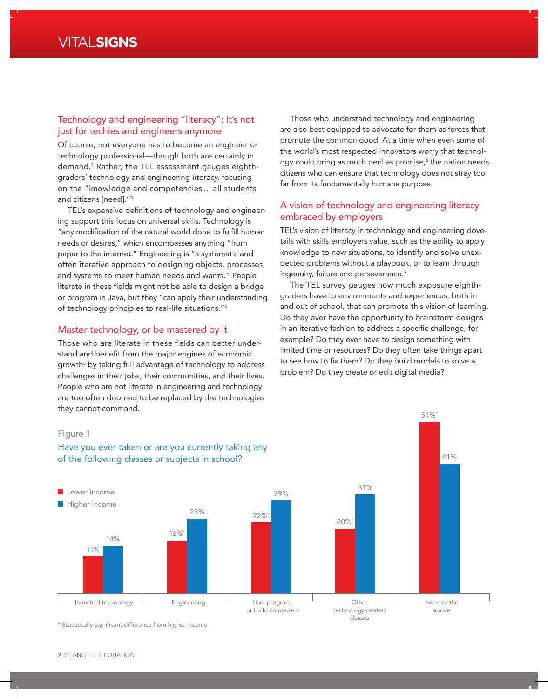#### Technology and engineering "literacy": It's not just for techies and engineers anymore

Of course, not everyone has to become an engineer or technology professional—though both are certainly in demand.2 Rather, the TEL assessment gauges eighthgraders' technology and engineering *literacy,* focusing on the "knowledge and competencies … all students and citizens [need]."3

TEL's expansive definitions of technology and engineering support this focus on universal skills. Technology is "any modification of the natural world done to fulfill human needs or desires," which encompasses anything "from paper to the internet." Engineering is "a systematic and often iterative approach to designing objects, processes, and systems to meet human needs and wants." People literate in these fields might not be able to design a bridge or program in Java, but they "can apply their understanding of technology principles to real-life situations."4

#### Master technology, or be mastered by it

Those who are literate in these fields can better understand and benefit from the major engines of economic growth $^5$  by taking full advantage of technology to address challenges in their jobs, their communities, and their lives. People who are not literate in engineering and technology are too often doomed to be replaced by the technologies they cannot command.

Those who understand technology and engineering are also best equipped to advocate for them as forces that promote the common good. At a time when even some of the world's most respected innovators worry that technology could bring as much peril as promise,<sup>6</sup> the nation needs citizens who can ensure that technology does not stray too far from its fundamentally humane purpose.

#### A vision of technology and engineering literacy embraced by employers

TEL's vision of literacy in technology and engineering dovetails with skills employers value, such as the ability to apply knowledge to new situations, to identify and solve unexpected problems without a playbook, or to learn through ingenuity, failure and perseverance.<sup>7</sup>

The TEL survey gauges how much exposure eighthgraders have to environments and experiences, both in and out of school, that can promote this vision of learning. Do they ever have the opportunity to brainstorm designs in an iterative fashion to address a specific challenge, for example? Do they ever have to design something with limited time or resources? Do they often take things apart to see how to fix them? Do they build models to solve a problem? Do they create or edit digital media?

54%\*

#### Industrial technology **Engineering** Use, program, or build computers Other technology-related classes None of the above **Lower** income **Higher income** Figure 1 Have you ever taken or are you currently taking any of the following classes or subjects in school? 11% 14% 16%\* 23% 22%\* 29% 20%\* 31% 41%

\* Statistically significant difference from higher income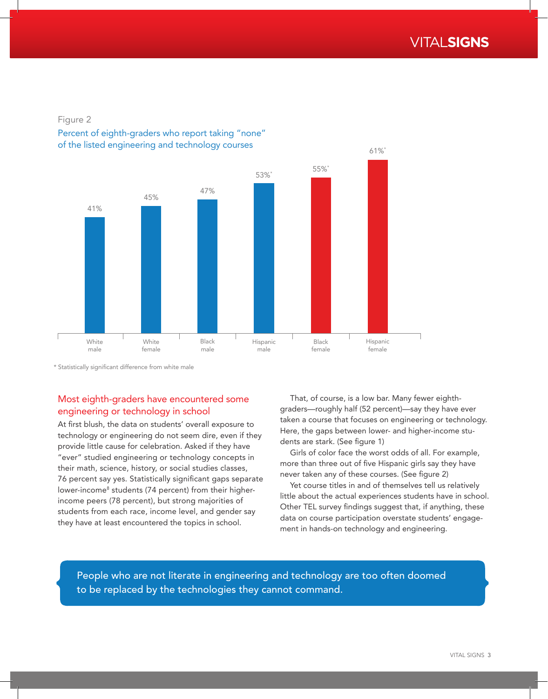

#### Figure 2

#### Percent of eighth-graders who report taking "none" of the listed engineering and technology courses



\* Statistically significant difference from white male

## Most eighth-graders have encountered some engineering or technology in school

At first blush, the data on students' overall exposure to technology or engineering do not seem dire, even if they provide little cause for celebration. Asked if they have "ever" studied engineering or technology concepts in their math, science, history, or social studies classes, 76 percent say yes. Statistically significant gaps separate lower-income<sup>8</sup> students (74 percent) from their higherincome peers (78 percent), but strong majorities of students from each race, income level, and gender say they have at least encountered the topics in school.

That, of course, is a low bar. Many fewer eighthgraders—roughly half (52 percent)—say they have ever taken a course that focuses on engineering or technology. Here, the gaps between lower- and higher-income students are stark. (See figure 1)

Girls of color face the worst odds of all. For example, more than three out of five Hispanic girls say they have never taken any of these courses. (See figure 2)

Yet course titles in and of themselves tell us relatively little about the actual experiences students have in school. Other TEL survey findings suggest that, if anything, these data on course participation overstate students' engagement in hands-on technology and engineering.

People who are not literate in engineering and technology are too often doomed to be replaced by the technologies they cannot command.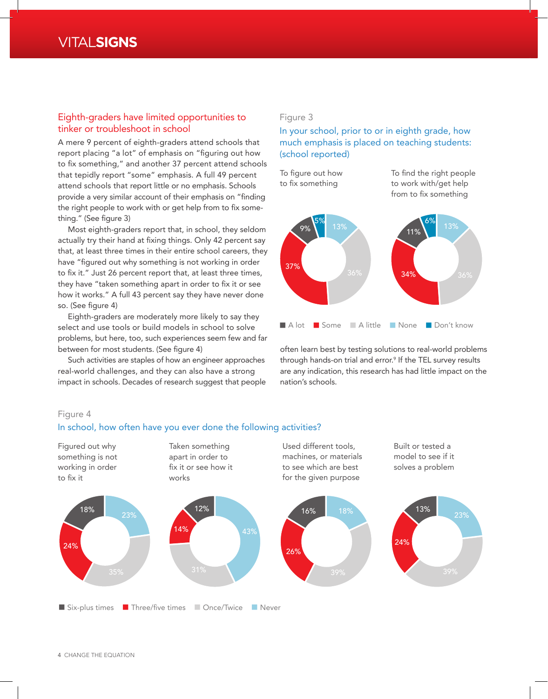# VITAL**SIGNS**

#### Eighth-graders have limited opportunities to tinker or troubleshoot in school

A mere 9 percent of eighth-graders attend schools that report placing "a lot" of emphasis on "figuring out how to fix something," and another 37 percent attend schools that tepidly report "some" emphasis. A full 49 percent attend schools that report little or no emphasis. Schools provide a very similar account of their emphasis on "finding the right people to work with or get help from to fix something." (See figure 3)

Most eighth-graders report that, in school, they seldom actually try their hand at fixing things. Only 42 percent say that, at least three times in their entire school careers, they have "figured out why something is not working in order to fix it." Just 26 percent report that, at least three times, they have "taken something apart in order to fix it or see how it works." A full 43 percent say they have never done so. (See figure 4)

Eighth-graders are moderately more likely to say they select and use tools or build models in school to solve problems, but here, too, such experiences seem few and far between for most students. (See figure 4)

Such activities are staples of how an engineer approaches real-world challenges, and they can also have a strong impact in schools. Decades of research suggest that people

#### Figure 3

In your school, prior to or in eighth grade, how much emphasis is placed on teaching students: (school reported)

To figure out how to fix something

To find the right people to work with/get help from to fix something



often learn best by testing solutions to real-world problems through hands-on trial and error.<sup>9</sup> If the TEL survey results are any indication, this research has had little impact on the nation's schools.

#### Figure 4

#### In school, how often have you ever done the following activities?



4 CHANGE THE EQUATION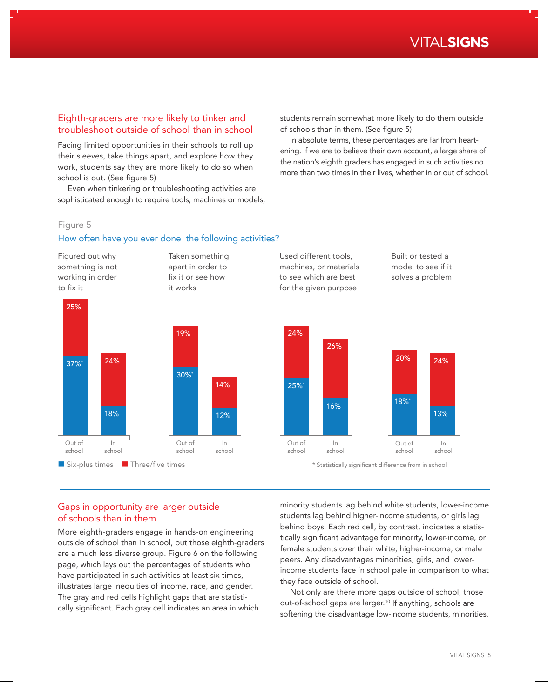### Eighth-graders are more likely to tinker and troubleshoot outside of school than in school

Facing limited opportunities in their schools to roll up their sleeves, take things apart, and explore how they work, students say they are more likely to do so when school is out. (See figure 5)

Even when tinkering or troubleshooting activities are sophisticated enough to require tools, machines or models, students remain somewhat more likely to do them outside of schools than in them. (See figure 5)

In absolute terms, these percentages are far from heartening. If we are to believe their own account, a large share of the nation's eighth graders has engaged in such activities no more than two times in their lives, whether in or out of school.

#### Figure 5

#### How often have you ever done the following activities?

Figured out why something is not working in order to fix it Taken something apart in order to fix it or see how it works **n** Six-plus times **n** Three/five times **and Three in Statistically significant difference from in school** Used different tools, machines, or materials to see which are best for the given purpose Built or tested a model to see if it solves a problem Out of school In school 25% 37%\* Out of school In school 30%<sup>\*</sup> 19% 14% 12% Out of school In school 24% 25%\* 26% 16% Out of schoo 18%\* 20% 24% 24% 18%

#### Gaps in opportunity are larger outside of schools than in them

More eighth-graders engage in hands-on engineering outside of school than in school, but those eighth-graders are a much less diverse group. Figure 6 on the following page, which lays out the percentages of students who have participated in such activities at least six times, illustrates large inequities of income, race, and gender. The gray and red cells highlight gaps that are statistically significant. Each gray cell indicates an area in which

minority students lag behind white students, lower-income students lag behind higher-income students, or girls lag behind boys. Each red cell, by contrast, indicates a statistically significant advantage for minority, lower-income, or female students over their white, higher-income, or male peers. Any disadvantages minorities, girls, and lowerincome students face in school pale in comparison to what they face outside of school.

Not only are there more gaps outside of school, those out-of-school gaps are larger.10 If anything, schools are softening the disadvantage low-income students, minorities,

In school

13%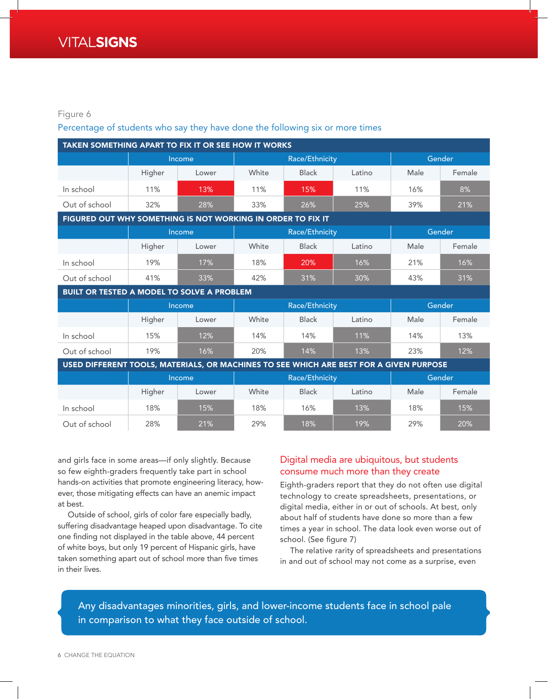#### Figure 6

#### Percentage of students who say they have done the following six or more times

| <b>TAKEN SOMETHING APART TO FIX IT OR SEE HOW IT WORKS</b>                             |        |       |                |              |        |        |        |  |  |  |  |  |
|----------------------------------------------------------------------------------------|--------|-------|----------------|--------------|--------|--------|--------|--|--|--|--|--|
|                                                                                        | Income |       | Race/Ethnicity |              |        | Gender |        |  |  |  |  |  |
|                                                                                        | Higher | Lower | White          | <b>Black</b> | Latino | Male   | Female |  |  |  |  |  |
| In school                                                                              | 11%    | 13%   | 11%            | 15%          | 11%    | 16%    | 8%     |  |  |  |  |  |
| Out of school                                                                          | 32%    | 28%   | 33%            | 26%          | 25%    | 39%    | 21%    |  |  |  |  |  |
| FIGURED OUT WHY SOMETHING IS NOT WORKING IN ORDER TO FIX IT                            |        |       |                |              |        |        |        |  |  |  |  |  |
|                                                                                        | Income |       | Race/Ethnicity |              |        | Gender |        |  |  |  |  |  |
|                                                                                        | Higher | Lower | White          | <b>Black</b> | Latino | Male   | Female |  |  |  |  |  |
| In school                                                                              | 19%    | 17%   | 18%            | 20%          | 16%    | 21%    | 16%    |  |  |  |  |  |
| Out of school                                                                          | 41%    | 33%   | 42%            | 31%          | 30%    | 43%    | 31%    |  |  |  |  |  |
| BUILT OR TESTED A MODEL TO SOLVE A PROBLEM                                             |        |       |                |              |        |        |        |  |  |  |  |  |
|                                                                                        | Income |       | Race/Ethnicity |              |        | Gender |        |  |  |  |  |  |
|                                                                                        | Higher | Lower | White          | <b>Black</b> | Latino | Male   | Female |  |  |  |  |  |
| In school                                                                              | 15%    | 12%   | 14%            | 14%          | 11%    | 14%    | 13%    |  |  |  |  |  |
| Out of school                                                                          | 19%    | 16%   | 20%            | 14%          | 13%    | 23%    | 12%    |  |  |  |  |  |
| USED DIFFERENT TOOLS, MATERIALS, OR MACHINES TO SEE WHICH ARE BEST FOR A GIVEN PURPOSE |        |       |                |              |        |        |        |  |  |  |  |  |
|                                                                                        | Income |       | Race/Ethnicity |              |        | Gender |        |  |  |  |  |  |
|                                                                                        | Higher | Lower | White          | <b>Black</b> | Latino | Male   | Female |  |  |  |  |  |
| In school                                                                              | 18%    | 15%   | 18%            | 16%          | 13%    | 18%    | 15%    |  |  |  |  |  |
| Out of school                                                                          | 28%    | 21%   | 29%            | 18%          | 19%    | 29%    | 20%    |  |  |  |  |  |

and girls face in some areas—if only slightly. Because so few eighth-graders frequently take part in school hands-on activities that promote engineering literacy, however, those mitigating effects can have an anemic impact at best.

Outside of school, girls of color fare especially badly, suffering disadvantage heaped upon disadvantage. To cite one finding not displayed in the table above, 44 percent of white boys, but only 19 percent of Hispanic girls, have taken something apart out of school more than five times in their lives.

### Digital media are ubiquitous, but students consume much more than they create

Eighth-graders report that they do not often use digital technology to create spreadsheets, presentations, or digital media, either in or out of schools. At best, only about half of students have done so more than a few times a year in school. The data look even worse out of school. (See figure 7)

The relative rarity of spreadsheets and presentations in and out of school may not come as a surprise, even

Any disadvantages minorities, girls, and lower-income students face in school pale in comparison to what they face outside of school.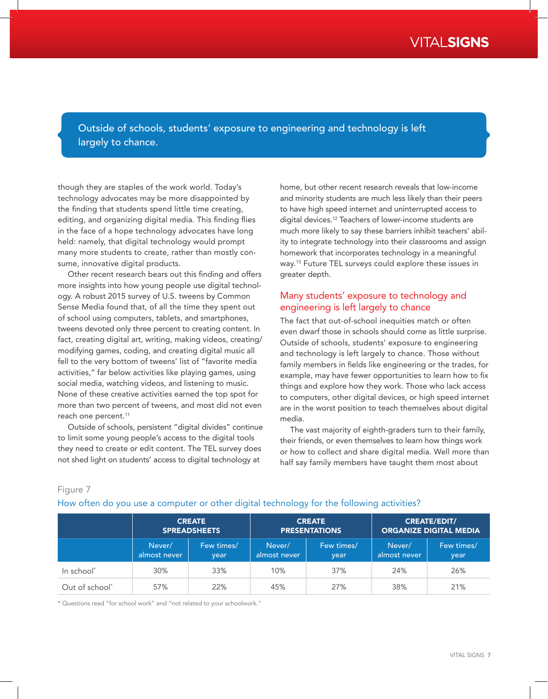Outside of schools, students' exposure to engineering and technology is left largely to chance.

though they are staples of the work world. Today's technology advocates may be more disappointed by the finding that students spend little time creating, editing, and organizing digital media. This finding flies in the face of a hope technology advocates have long held: namely, that digital technology would prompt many more students to create, rather than mostly consume, innovative digital products.

Other recent research bears out this finding and offers more insights into how young people use digital technology. A robust 2015 survey of U.S. tweens by Common Sense Media found that, of all the time they spent out of school using computers, tablets, and smartphones, tweens devoted only three percent to creating content. In fact, creating digital art, writing, making videos, creating/ modifying games, coding, and creating digital music all fell to the very bottom of tweens' list of "favorite media activities," far below activities like playing games, using social media, watching videos, and listening to music. None of these creative activities earned the top spot for more than two percent of tweens, and most did not even reach one percent.<sup>11</sup>

Outside of schools, persistent "digital divides" continue to limit some young people's access to the digital tools they need to create or edit content. The TEL survey does not shed light on students' access to digital technology at

home, but other recent research reveals that low-income and minority students are much less likely than their peers to have high speed internet and uninterrupted access to digital devices.12 Teachers of lower-income students are much more likely to say these barriers inhibit teachers' ability to integrate technology into their classrooms and assign homework that incorporates technology in a meaningful way.13 Future TEL surveys could explore these issues in greater depth.

#### Many students' exposure to technology and engineering is left largely to chance

The fact that out-of-school inequities match or often even dwarf those in schools should come as little surprise. Outside of schools, students' exposure to engineering and technology is left largely to chance. Those without family members in fields like engineering or the trades, for example, may have fewer opportunities to learn how to fix things and explore how they work. Those who lack access to computers, other digital devices, or high speed internet are in the worst position to teach themselves about digital media.

The vast majority of eighth-graders turn to their family, their friends, or even themselves to learn how things work or how to collect and share digital media. Well more than half say family members have taught them most about

#### Figure 7

#### How often do you use a computer or other digital technology for the following activities?

|                            | <b>CREATE</b><br><b>SPREADSHEETS</b> |                    |                        | <b>CREATE</b><br><b>PRESENTATIONS</b> | <b>CREATE/EDIT/</b><br><b>ORGANIZE DIGITAL MEDIA</b> |                    |
|----------------------------|--------------------------------------|--------------------|------------------------|---------------------------------------|------------------------------------------------------|--------------------|
|                            | Never/<br>almost never               | Few times/<br>vear | Never/<br>almost never | Few times/<br>year                    | Never/<br>almost never                               | Few times/<br>year |
| In school*                 | 30%                                  | 33%                | 10%                    | 37%                                   | 24%                                                  | 26%                |
| Out of school <sup>*</sup> | 57%                                  | 22%                | 45%                    | 27%                                   | 38%                                                  | 21%                |

\* Questions read "for school work" and "not related to your schoolwork."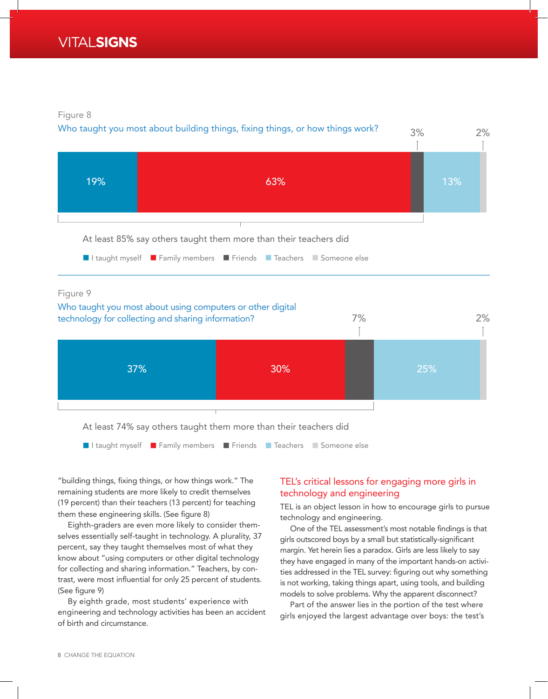Figure 8





At least 74% say others taught them more than their teachers did



"building things, fixing things, or how things work." The remaining students are more likely to credit themselves (19 percent) than their teachers (13 percent) for teaching them these engineering skills. (See figure 8)

Eighth-graders are even more likely to consider themselves essentially self-taught in technology. A plurality, 37 percent, say they taught themselves most of what they know about "using computers or other digital technology for collecting and sharing information." Teachers, by contrast, were most influential for only 25 percent of students. (See figure 9)

By eighth grade, most students' experience with engineering and technology activities has been an accident of birth and circumstance.

## TEL's critical lessons for engaging more girls in technology and engineering

TEL is an object lesson in how to encourage girls to pursue technology and engineering.

One of the TEL assessment's most notable findings is that girls outscored boys by a small but statistically-significant margin. Yet herein lies a paradox. Girls are less likely to say they have engaged in many of the important hands-on activities addressed in the TEL survey: figuring out why something is not working, taking things apart, using tools, and building models to solve problems. Why the apparent disconnect?

Part of the answer lies in the portion of the test where girls enjoyed the largest advantage over boys: the test's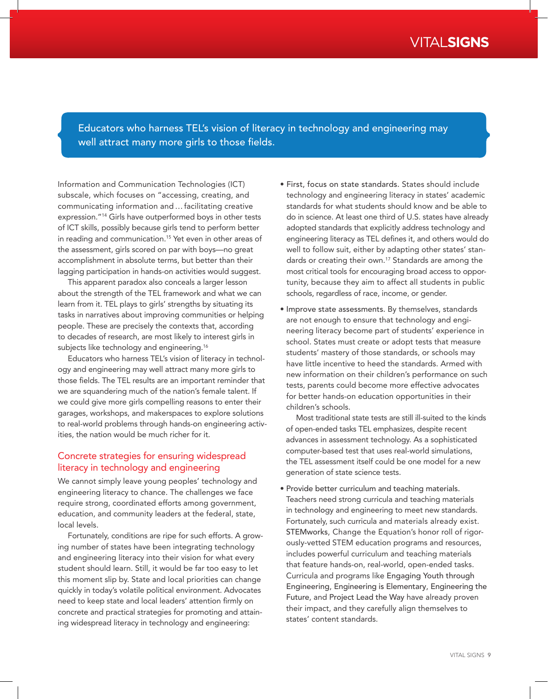## Educators who harness TEL's vision of literacy in technology and engineering may well attract many more girls to those fields.

Information and Communication Technologies (ICT) subscale, which focuses on "accessing, creating, and communicating information and…facilitating creative expression."<sup>14</sup> Girls have outperformed boys in other tests of ICT skills, possibly because girls tend to perform better in reading and communication.15 Yet even in other areas of the assessment, girls scored on par with boys—no great accomplishment in absolute terms, but better than their lagging participation in hands-on activities would suggest.

This apparent paradox also conceals a larger lesson about the strength of the TEL framework and what we can learn from it. TEL plays to girls' strengths by situating its tasks in narratives about improving communities or helping people. These are precisely the contexts that, according to decades of research, are most likely to interest girls in subjects like technology and engineering.<sup>16</sup>

Educators who harness TEL's vision of literacy in technology and engineering may well attract many more girls to those fields. The TEL results are an important reminder that we are squandering much of the nation's female talent. If we could give more girls compelling reasons to enter their garages, workshops, and makerspaces to explore solutions to real-world problems through hands-on engineering activities, the nation would be much richer for it.

#### Concrete strategies for ensuring widespread literacy in technology and engineering

We cannot simply leave young peoples' technology and engineering literacy to chance. The challenges we face require strong, coordinated efforts among government, education, and community leaders at the federal, state, local levels.

Fortunately, conditions are ripe for such efforts. A growing number of states have been integrating technology and engineering literacy into their vision for what every student should learn. Still, it would be far too easy to let this moment slip by. State and local priorities can change quickly in today's volatile political environment. Advocates need to keep state and local leaders' attention firmly on concrete and practical strategies for promoting and attaining widespread literacy in technology and engineering:

- First, focus on state standards. States should include technology and engineering literacy in states' academic standards for what students should know and be able to do in science. At least one third of U.S. states have already adopted standards that explicitly address technology and engineering literacy as TEL defines it, and others would do well to follow suit, either by adapting other states' standards or creating their own.<sup>17</sup> Standards are among the most critical tools for encouraging broad access to opportunity, because they aim to affect all students in public schools, regardless of race, income, or gender.
- Improve state assessments. By themselves, standards are not enough to ensure that technology and engineering literacy become part of students' experience in school. States must create or adopt tests that measure students' mastery of those standards, or schools may have little incentive to heed the standards. Armed with new information on their children's performance on such tests, parents could become more effective advocates for better hands-on education opportunities in their children's schools.

Most traditional state tests are still ill-suited to the kinds of open-ended tasks TEL emphasizes, despite recent advances in assessment technology. As a sophisticated computer-based test that uses real-world simulations, the TEL assessment itself could be one model for a new generation of state science tests.

• Provide better curriculum and teaching materials. Teachers need strong curricula and teaching materials in technology and engineering to meet new standards. Fortunately, such curricula and materials already exist. STEMworks, Change the Equation's honor roll of rigorously-vetted STEM education programs and resources, includes powerful curriculum and teaching materials that feature hands-on, real-world, open-ended tasks. Curricula and programs like Engaging Youth through Engineering, Engineering is Elementary, Engineering the Future, and Project Lead the Way have already proven their impact, and they carefully align themselves to states' content standards.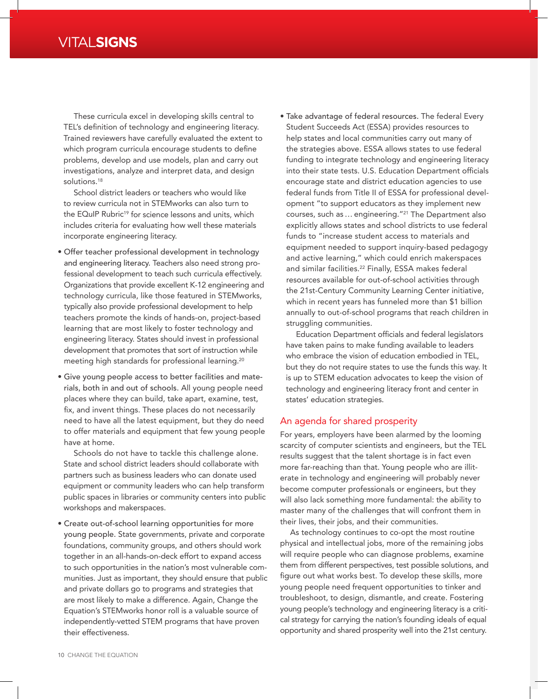These curricula excel in developing skills central to TEL's definition of technology and engineering literacy. Trained reviewers have carefully evaluated the extent to which program curricula encourage students to define problems, develop and use models, plan and carry out investigations, analyze and interpret data, and design solutions.<sup>18</sup>

School district leaders or teachers who would like to review curricula not in STEMworks can also turn to the EQuIP Rubric<sup>19</sup> for science lessons and units, which includes criteria for evaluating how well these materials incorporate engineering literacy.

- Offer teacher professional development in technology and engineering literacy. Teachers also need strong professional development to teach such curricula effectively. Organizations that provide excellent K-12 engineering and technology curricula, like those featured in STEMworks, typically also provide professional development to help teachers promote the kinds of hands-on, project-based learning that are most likely to foster technology and engineering literacy. States should invest in professional development that promotes that sort of instruction while meeting high standards for professional learning.20
- Give young people access to better facilities and materials, both in and out of schools. All young people need places where they can build, take apart, examine, test, fix, and invent things. These places do not necessarily need to have all the latest equipment, but they do need to offer materials and equipment that few young people have at home.

Schools do not have to tackle this challenge alone. State and school district leaders should collaborate with partners such as business leaders who can donate used equipment or community leaders who can help transform public spaces in libraries or community centers into public workshops and makerspaces.

• Create out-of-school learning opportunities for more young people. State governments, private and corporate foundations, community groups, and others should work together in an all-hands-on-deck effort to expand access to such opportunities in the nation's most vulnerable communities. Just as important, they should ensure that public and private dollars go to programs and strategies that are most likely to make a difference. Again, Change the Equation's STEMworks honor roll is a valuable source of independently-vetted STEM programs that have proven their effectiveness.

• Take advantage of federal resources. The federal Every Student Succeeds Act (ESSA) provides resources to help states and local communities carry out many of the strategies above. ESSA allows states to use federal funding to integrate technology and engineering literacy into their state tests. U.S. Education Department officials encourage state and district education agencies to use federal funds from Title II of ESSA for professional development "to support educators as they implement new courses, such as… engineering."21 The Department also explicitly allows states and school districts to use federal funds to "increase student access to materials and equipment needed to support inquiry-based pedagogy and active learning," which could enrich makerspaces and similar facilities.<sup>22</sup> Finally, ESSA makes federal resources available for out-of-school activities through the 21st-Century Community Learning Center initiative, which in recent years has funneled more than \$1 billion annually to out-of-school programs that reach children in struggling communities.

Education Department officials and federal legislators have taken pains to make funding available to leaders who embrace the vision of education embodied in TEL. but they do not require states to use the funds this way. It is up to STEM education advocates to keep the vision of technology and engineering literacy front and center in states' education strategies.

#### An agenda for shared prosperity

For years, employers have been alarmed by the looming scarcity of computer scientists and engineers, but the TEL results suggest that the talent shortage is in fact even more far-reaching than that. Young people who are illiterate in technology and engineering will probably never become computer professionals or engineers, but they will also lack something more fundamental: the ability to master many of the challenges that will confront them in their lives, their jobs, and their communities.

As technology continues to co-opt the most routine physical and intellectual jobs, more of the remaining jobs will require people who can diagnose problems, examine them from different perspectives, test possible solutions, and figure out what works best. To develop these skills, more young people need frequent opportunities to tinker and troubleshoot, to design, dismantle, and create. Fostering young people's technology and engineering literacy is a critical strategy for carrying the nation's founding ideals of equal opportunity and shared prosperity well into the 21st century.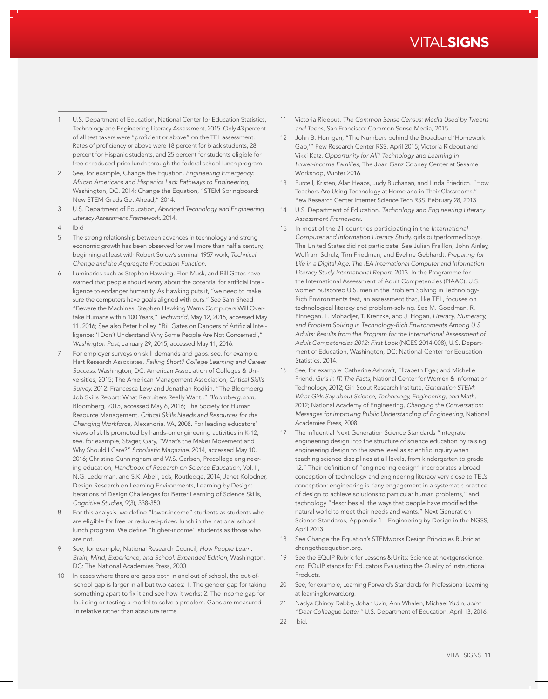# VITAL**SIGNS**

- 1 U.S. Department of Education, National Center for Education Statistics, Technology and Engineering Literacy Assessment, 2015. Only 43 percent of all test takers were "proficient or above" on the TEL assessment. Rates of proficiency or above were 18 percent for black students, 28 percent for Hispanic students, and 25 percent for students eligible for free or reduced-price lunch through the federal school lunch program.
- 2 See, for example, Change the Equation, *Engineering Emergency: African Americans and Hispanics Lack Pathways to Engineering,* Washington, DC, 2014; Change the Equation, "STEM Springboard: New STEM Grads Get Ahead," 2014.
- 3 U.S. Department of Education, *Abridged Technology and Engineering Literacy Assessment Framework,* 2014.
- 4 Ibid
- 5 The strong relationship between advances in technology and strong economic growth has been observed for well more than half a century, beginning at least with Robert Solow's seminal 1957 work, *Technical Change and the Aggregate Production Function.*
- 6 Luminaries such as Stephen Hawking, Elon Musk, and Bill Gates have warned that people should worry about the potential for artificial intelligence to endanger humanity. As Hawking puts it, "we need to make sure the computers have goals aligned with ours." See Sam Shead, "Beware the Machines: Stephen Hawking Warns Computers Will Overtake Humans within 100 Years," *Techworld,* May 12, 2015, accessed May 11, 2016; See also Peter Holley, "Bill Gates on Dangers of Artificial Intelligence: 'I Don't Understand Why Some People Are Not Concerned'," *Washington Post,* January 29, 2015, accessed May 11, 2016.
- For employer surveys on skill demands and gaps, see, for example, Hart Research Associates, *Falling Short? College Learning and Career Success,* Washington, DC: American Association of Colleges & Universities, 2015; The American Management Association, *Critical Skills Survey,* 2012; Francesca Levy and Jonathan Rodkin, "The Bloomberg Job Skills Report: What Recruiters Really Want.," *Bloomberg.com,* Bloomberg, 2015, accessed May 6, 2016; The Society for Human Resource Management, *Critical Skills Needs and Resources for the Changing Workforce,* Alexandria, VA, 2008. For leading educators' views of skills promoted by hands-on engineering activities in K-12, see, for example, Stager, Gary, "What's the Maker Movement and Why Should I Care?" *Scholastic Magazine,* 2014, accessed May 10, 2016; Christine Cunningham and W.S. Carlsen, Precollege engineering education, *Handbook of Research on Science Education,* Vol. II, N.G. Lederman, and S.K. Abell, eds, Routledge, 2014; Janet Kolodner, Design Research on Learning Environments, Learning by Design: Iterations of Design Challenges for Better Learning of Science Skills, *Cognitive Studies,* 9(3), 338-350.
- For this analysis, we define "lower-income" students as students who are eligible for free or reduced-priced lunch in the national school lunch program. We define "higher-income" students as those who are not.
- 9 See, for example, National Research Council, *How People Learn: Brain, Mind, Experience, and School: Expanded Edition,* Washington, DC: The National Academies Press, 2000.
- 10 In cases where there are gaps both in and out of school, the out-ofschool gap is larger in all but two cases: 1. The gender gap for taking something apart to fix it and see how it works; 2. The income gap for building or testing a model to solve a problem. Gaps are measured in relative rather than absolute terms.
- 11 Victoria Rideout, *The Common Sense Census: Media Used by Tweens and Teens,* San Francisco: Common Sense Media, 2015.
- 12 John B. Horrigan, "The Numbers behind the Broadband 'Homework Gap,'" Pew Research Center RSS, April 2015; Victoria Rideout and Vikki Katz, *Opportunity for All? Technology and Learning in Lower-Income Families,* The Joan Ganz Cooney Center at Sesame Workshop, Winter 2016.
- 13 Purcell, Kristen, Alan Heaps, Judy Buchanan, and Linda Friedrich. "How Teachers Are Using Technology at Home and in Their Classrooms." Pew Research Center Internet Science Tech RSS. February 28, 2013.
- 14 U.S. Department of Education, *Technology and Engineering Literacy Assessment Framework.*
- 15 In most of the 21 countries participating in the *International Computer and Information Literacy Study,* girls outperformed boys. The United States did not participate. See Julian Fraillon, John Ainley, Wolfram Schulz, Tim Friedman, and Eveline Gebhardt, *Preparing for Life in a Digital Age: The IEA International Computer and Information Literacy Study International Report,* 2013. In the Programme for the International Assessment of Adult Competencies (PIAAC), U.S. women outscored U.S. men in the Problem Solving in Technology-Rich Environments test, an assessment that, like TEL, focuses on technological literacy and problem-solving. See M. Goodman, R. Finnegan, L. Mohadjer, T. Krenzke, and J. Hogan, *Literacy, Numeracy, and Problem Solving in Technology-Rich Environments Among U.S. Adults: Results from the Program for the International Assessment of Adult Competencies 2012: First Look* (NCES 2014-008), U.S. Department of Education, Washington, DC: National Center for Education Statistics, 2014.
- 16 See, for example: Catherine Ashcraft, Elizabeth Eger, and Michelle Friend, *Girls in IT: The Facts,* National Center for Women & Information Technology, 2012; Girl Scout Research Institute, *Generation STEM: What Girls Say about Science, Technology, Engineering, and Math,* 2012; National Academy of Engineering, *Changing the Conversation: Messages for Improving Public Understanding of Engineering,* National Academies Press, 2008.
- 17 The influential Next Generation Science Standards "integrate engineering design into the structure of science education by raising engineering design to the same level as scientific inquiry when teaching science disciplines at all levels, from kindergarten to grade 12." Their definition of "engineering design" incorporates a broad conception of technology and engineering literacy very close to TEL's conception: engineering is "any engagement in a systematic practice of design to achieve solutions to particular human problems," and technology "describes all the ways that people have modified the natural world to meet their needs and wants." Next Generation Science Standards, Appendix 1—Engineering by Design in the NGSS, April 2013.
- 18 See Change the Equation's STEMworks Design Principles Rubric at changetheequation.org.
- 19 See the EQuIP Rubric for Lessons & Units: Science at nextgenscience. org. EQuIP stands for Educators Evaluating the Quality of Instructional Products.
- 20 See, for example, Learning Forward's Standards for Professional Learning at learningforward.org.
- 21 Nadya Chinoy Dabby, Johan Uvin, Ann Whalen, Michael Yudin, *Joint "Dear Colleague Letter,"* U.S. Department of Education, April 13, 2016.
- 22 Ibid.